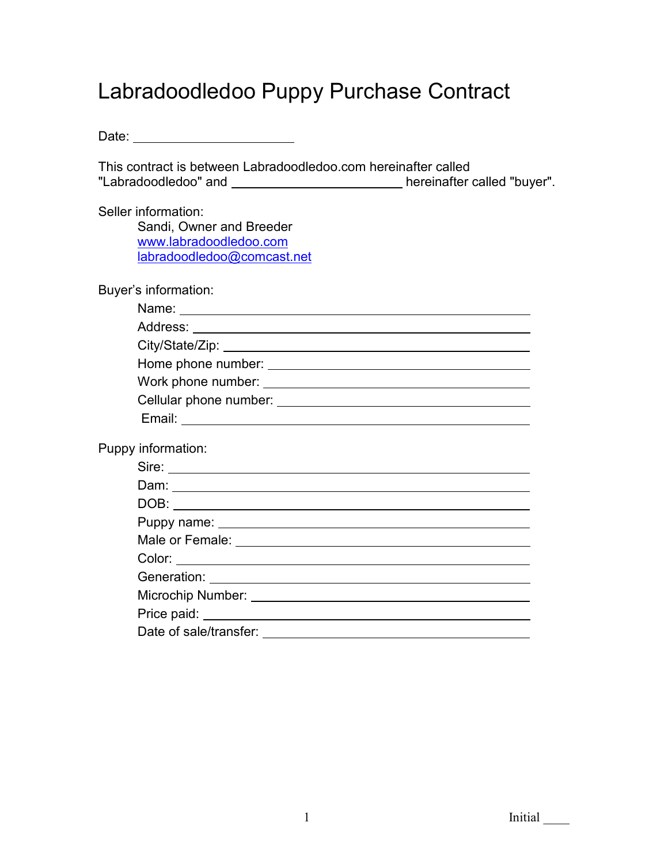## Labradoodledoo Puppy Purchase Contract

This contract is between Labradoodledoo.com hereinafter called "Labradoodledoo" and \_\_\_\_\_\_\_\_\_\_\_\_\_\_\_\_\_\_\_\_\_\_\_\_\_\_\_\_\_ hereinafter called "buyer".

Seller information:

Sandi, Owner and Breeder www.labradoodledoo.com labradoodledoo@comcast.net

Buyer's information:

| Cellular phone number: example and the set of the set of the set of the set of the set of the set of the set of the set of the set of the set of the set of the set of the set of the set of the set of the set of the set of |
|-------------------------------------------------------------------------------------------------------------------------------------------------------------------------------------------------------------------------------|
| Email:                                                                                                                                                                                                                        |

Puppy information:

| Sire:                                   |
|-----------------------------------------|
|                                         |
|                                         |
|                                         |
|                                         |
|                                         |
|                                         |
|                                         |
|                                         |
| Date of sale/transfer: ________________ |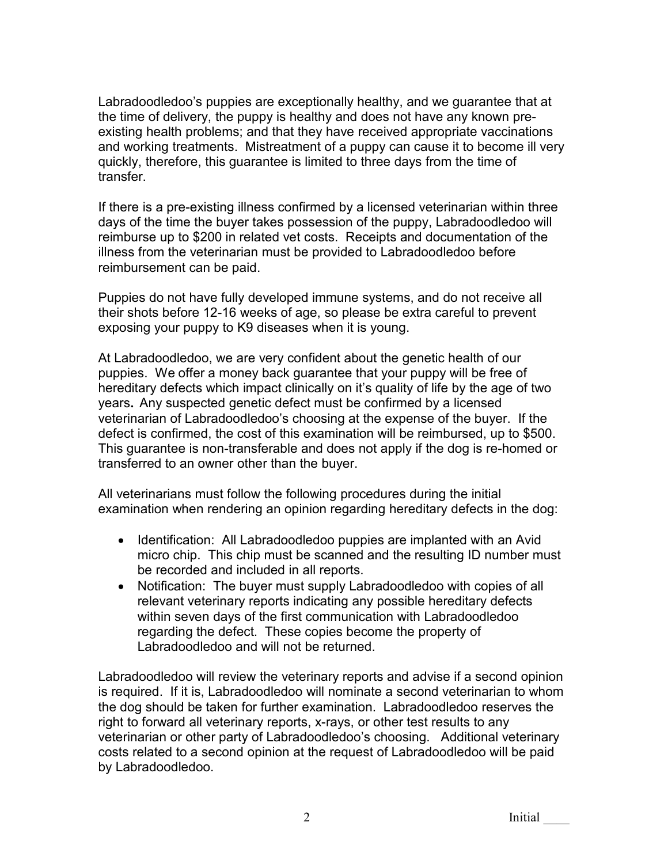Labradoodledoo's puppies are exceptionally healthy, and we guarantee that at the time of delivery, the puppy is healthy and does not have any known preexisting health problems; and that they have received appropriate vaccinations and working treatments. Mistreatment of a puppy can cause it to become ill very quickly, therefore, this guarantee is limited to three days from the time of transfer.

If there is a pre-existing illness confirmed by a licensed veterinarian within three days of the time the buyer takes possession of the puppy, Labradoodledoo will reimburse up to \$200 in related vet costs. Receipts and documentation of the illness from the veterinarian must be provided to Labradoodledoo before reimbursement can be paid.

Puppies do not have fully developed immune systems, and do not receive all their shots before 12-16 weeks of age, so please be extra careful to prevent exposing your puppy to K9 diseases when it is young.

At Labradoodledoo, we are very confident about the genetic health of our puppies. We offer a money back guarantee that your puppy will be free of hereditary defects which impact clinically on it's quality of life by the age of two years. Any suspected genetic defect must be confirmed by a licensed veterinarian of Labradoodledoo's choosing at the expense of the buyer. If the defect is confirmed, the cost of this examination will be reimbursed, up to \$500. This guarantee is non-transferable and does not apply if the dog is re-homed or transferred to an owner other than the buyer.

All veterinarians must follow the following procedures during the initial examination when rendering an opinion regarding hereditary defects in the dog:

- Identification: All Labradoodledoo puppies are implanted with an Avid micro chip. This chip must be scanned and the resulting ID number must be recorded and included in all reports.
- Notification: The buyer must supply Labradoodledoo with copies of all relevant veterinary reports indicating any possible hereditary defects within seven days of the first communication with Labradoodledoo regarding the defect. These copies become the property of Labradoodledoo and will not be returned.

Labradoodledoo will review the veterinary reports and advise if a second opinion is required. If it is, Labradoodledoo will nominate a second veterinarian to whom the dog should be taken for further examination. Labradoodledoo reserves the right to forward all veterinary reports, x-rays, or other test results to any veterinarian or other party of Labradoodledoo's choosing. Additional veterinary costs related to a second opinion at the request of Labradoodledoo will be paid by Labradoodledoo.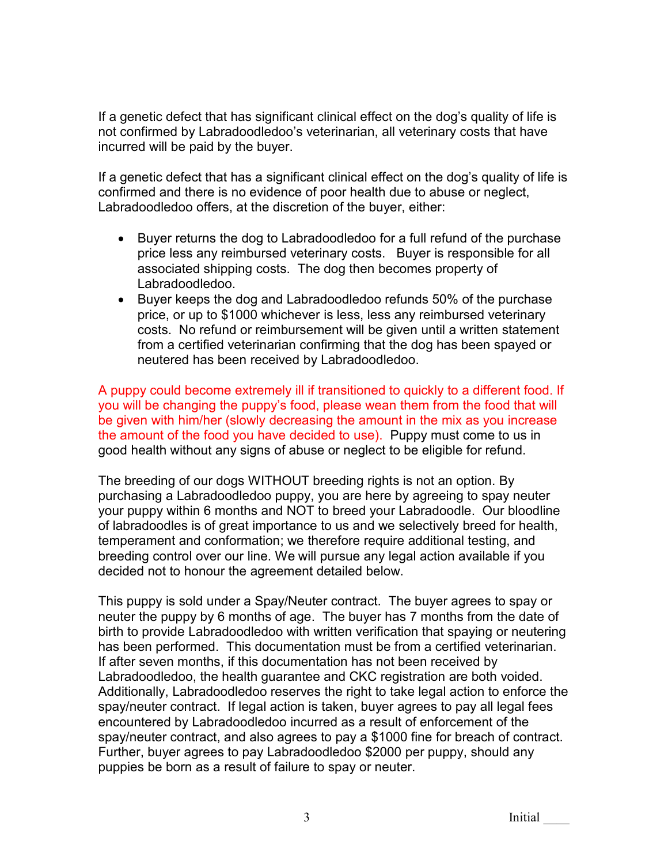If a genetic defect that has significant clinical effect on the dog's quality of life is not confirmed by Labradoodledoo's veterinarian, all veterinary costs that have incurred will be paid by the buyer.

If a genetic defect that has a significant clinical effect on the dog's quality of life is confirmed and there is no evidence of poor health due to abuse or neglect, Labradoodledoo offers, at the discretion of the buyer, either:

- Buyer returns the dog to Labradoodledoo for a full refund of the purchase price less any reimbursed veterinary costs. Buyer is responsible for all associated shipping costs. The dog then becomes property of Labradoodledoo.
- Buyer keeps the dog and Labradoodledoo refunds 50% of the purchase price, or up to \$1000 whichever is less, less any reimbursed veterinary costs. No refund or reimbursement will be given until a written statement from a certified veterinarian confirming that the dog has been spayed or neutered has been received by Labradoodledoo.

A puppy could become extremely ill if transitioned to quickly to a different food. If you will be changing the puppy's food, please wean them from the food that will be given with him/her (slowly decreasing the amount in the mix as you increase the amount of the food you have decided to use). Puppy must come to us in good health without any signs of abuse or neglect to be eligible for refund.

The breeding of our dogs WITHOUT breeding rights is not an option. By purchasing a Labradoodledoo puppy, you are here by agreeing to spay neuter your puppy within 6 months and NOT to breed your Labradoodle. Our bloodline of labradoodles is of great importance to us and we selectively breed for health, temperament and conformation; we therefore require additional testing, and breeding control over our line. We will pursue any legal action available if you decided not to honour the agreement detailed below.

This puppy is sold under a Spay/Neuter contract. The buyer agrees to spay or neuter the puppy by 6 months of age. The buyer has 7 months from the date of birth to provide Labradoodledoo with written verification that spaying or neutering has been performed. This documentation must be from a certified veterinarian. If after seven months, if this documentation has not been received by Labradoodledoo, the health guarantee and CKC registration are both voided. Additionally, Labradoodledoo reserves the right to take legal action to enforce the spay/neuter contract. If legal action is taken, buyer agrees to pay all legal fees encountered by Labradoodledoo incurred as a result of enforcement of the spay/neuter contract, and also agrees to pay a \$1000 fine for breach of contract. Further, buyer agrees to pay Labradoodledoo \$2000 per puppy, should any puppies be born as a result of failure to spay or neuter.